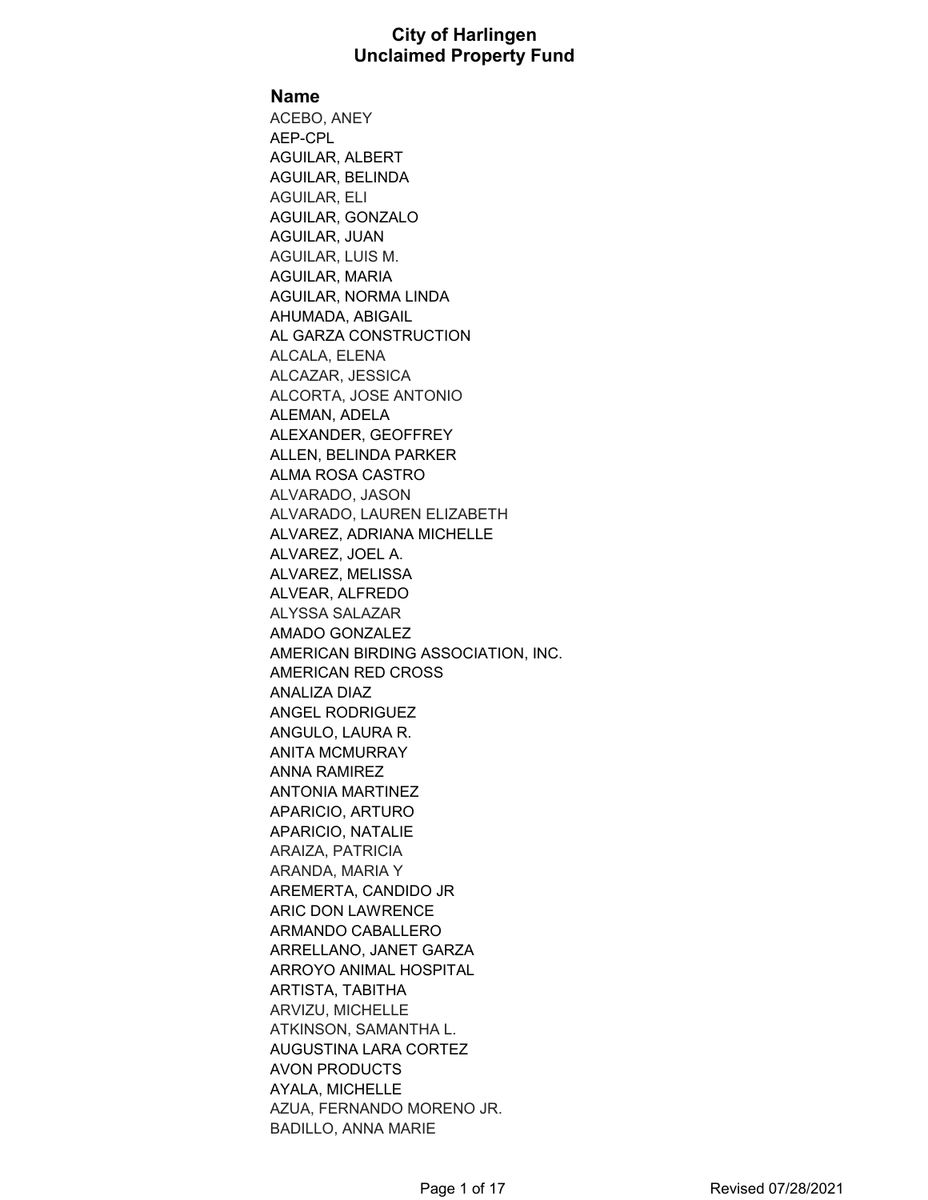**Name**

ACEBO, ANEY AEP-CPL AGUILAR, ALBERT AGUILAR, BELINDA AGUILAR, ELI AGUILAR, GONZALO AGUILAR, JUAN AGUILAR, LUIS M. AGUILAR, MARIA AGUILAR, NORMA LINDA AHUMADA, ABIGAIL AL GARZA CONSTRUCTION ALCALA, ELENA ALCAZAR, JESSICA ALCORTA, JOSE ANTONIO ALEMAN, ADELA ALEXANDER, GEOFFREY ALLEN, BELINDA PARKER ALMA ROSA CASTRO ALVARADO, JASON ALVARADO, LAUREN ELIZABETH ALVAREZ, ADRIANA MICHELLE ALVAREZ, JOEL A. ALVAREZ, MELISSA ALVEAR, ALFREDO ALYSSA SALAZAR AMADO GONZALEZ AMERICAN BIRDING ASSOCIATION, INC. AMERICAN RED CROSS ANALIZA DIAZ ANGEL RODRIGUEZ ANGULO, LAURA R. ANITA MCMURRAY ANNA RAMIREZ ANTONIA MARTINEZ APARICIO, ARTURO APARICIO, NATALIE ARAIZA, PATRICIA ARANDA, MARIA Y AREMERTA, CANDIDO JR ARIC DON LAWRENCE ARMANDO CABALLERO ARRELLANO, JANET GARZA ARROYO ANIMAL HOSPITAL ARTISTA, TABITHA ARVIZU, MICHELLE ATKINSON, SAMANTHA L. AUGUSTINA LARA CORTEZ AVON PRODUCTS AYALA, MICHELLE AZUA, FERNANDO MORENO JR. BADILLO, ANNA MARIE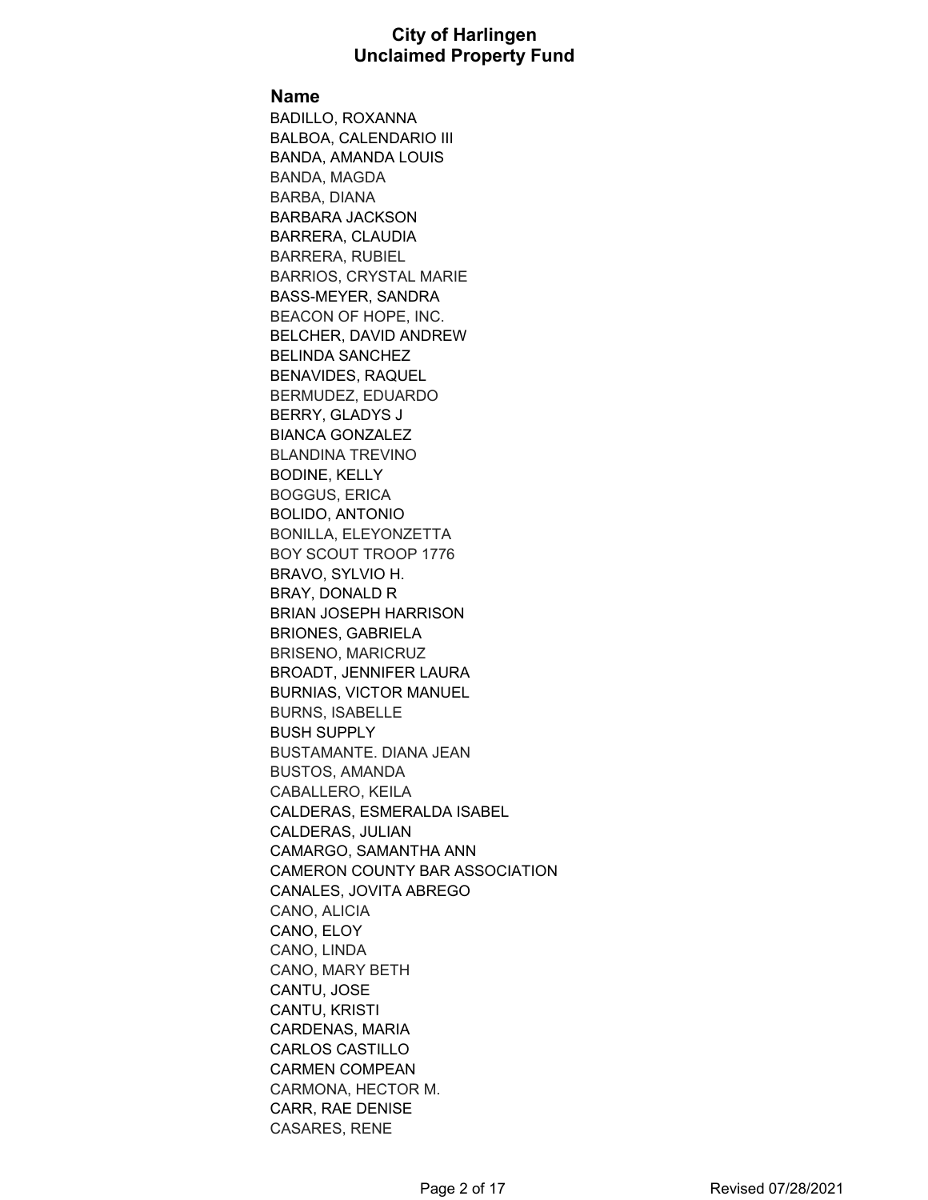#### **Name**

BADILLO, ROXANNA BALBOA, CALENDARIO III BANDA, AMANDA LOUIS BANDA, MAGDA BARBA, DIANA BARBARA JACKSON BARRERA, CLAUDIA BARRERA, RUBIEL BARRIOS, CRYSTAL MARIE BASS-MEYER, SANDRA BEACON OF HOPE, INC. BELCHER, DAVID ANDREW BELINDA SANCHEZ BENAVIDES, RAQUEL BERMUDEZ, EDUARDO BERRY, GLADYS J BIANCA GONZALEZ BLANDINA TREVINO BODINE, KELLY BOGGUS, ERICA BOLIDO, ANTONIO BONILLA, ELEYONZETTA BOY SCOUT TROOP 1776 BRAVO, SYLVIO H. BRAY, DONALD R BRIAN JOSEPH HARRISON BRIONES, GABRIELA BRISENO, MARICRUZ BROADT, JENNIFER LAURA BURNIAS, VICTOR MANUEL BURNS, ISABELLE BUSH SUPPLY BUSTAMANTE. DIANA JEAN BUSTOS, AMANDA CABALLERO, KEILA CALDERAS, ESMERALDA ISABEL CALDERAS, JULIAN CAMARGO, SAMANTHA ANN CAMERON COUNTY BAR ASSOCIATION CANALES, JOVITA ABREGO CANO, ALICIA CANO, ELOY CANO, LINDA CANO, MARY BETH CANTU, JOSE CANTU, KRISTI CARDENAS, MARIA CARLOS CASTILLO CARMEN COMPEAN CARMONA, HECTOR M. CARR, RAE DENISE CASARES, RENE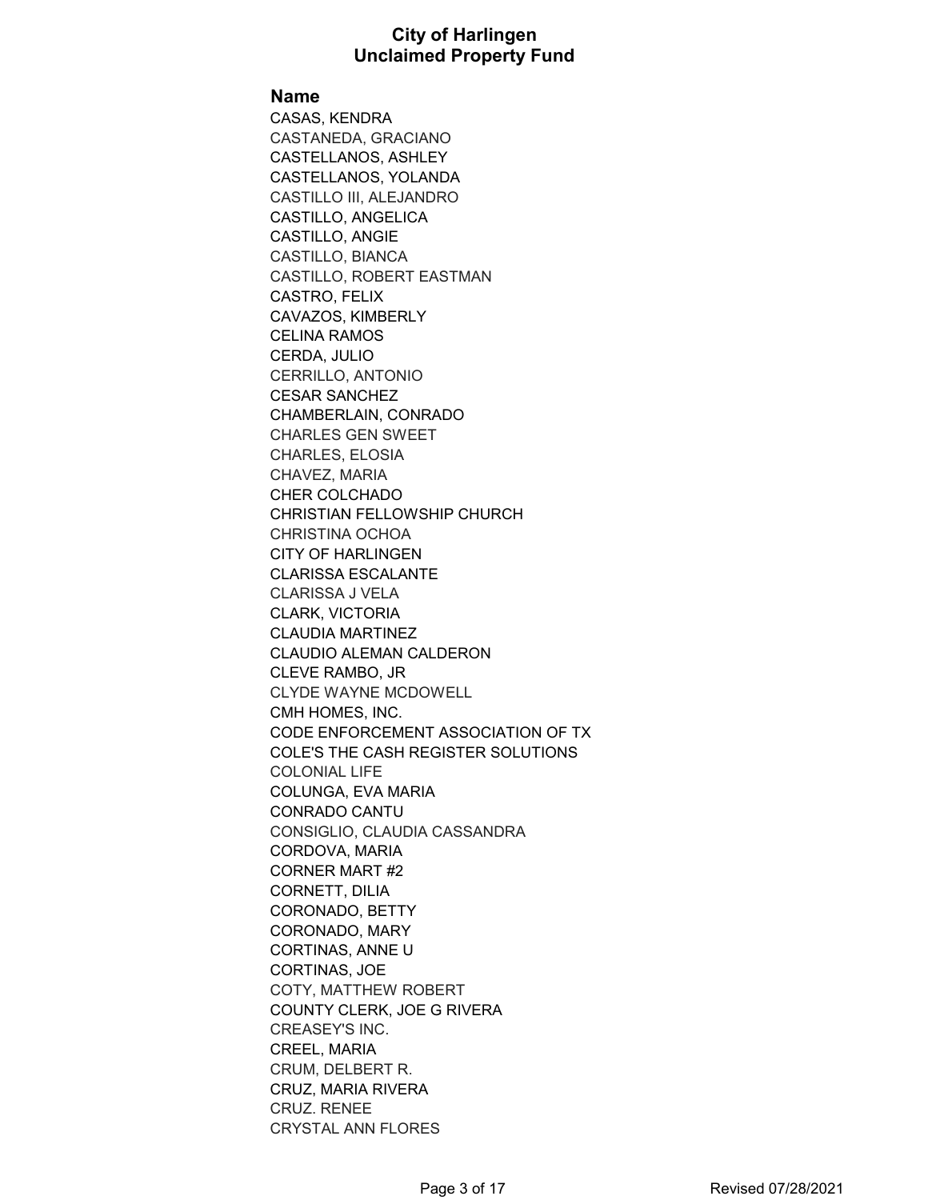#### **Name**

CASAS, KENDRA CASTANEDA, GRACIANO CASTELLANOS, ASHLEY CASTELLANOS, YOLANDA CASTILLO III, ALEJANDRO CASTILLO, ANGELICA CASTILLO, ANGIE CASTILLO, BIANCA CASTILLO, ROBERT EASTMAN CASTRO, FELIX CAVAZOS, KIMBERLY CELINA RAMOS CERDA, JULIO CERRILLO, ANTONIO CESAR SANCHEZ CHAMBERLAIN, CONRADO CHARLES GEN SWEET CHARLES, ELOSIA CHAVEZ, MARIA CHER COLCHADO CHRISTIAN FELLOWSHIP CHURCH CHRISTINA OCHOA CITY OF HARLINGEN CLARISSA ESCALANTE CLARISSA J VELA CLARK, VICTORIA CLAUDIA MARTINEZ CLAUDIO ALEMAN CALDERON CLEVE RAMBO, JR CLYDE WAYNE MCDOWELL CMH HOMES, INC. CODE ENFORCEMENT ASSOCIATION OF TX COLE'S THE CASH REGISTER SOLUTIONS COLONIAL LIFE COLUNGA, EVA MARIA CONRADO CANTU CONSIGLIO, CLAUDIA CASSANDRA CORDOVA, MARIA CORNER MART #2 CORNETT, DILIA CORONADO, BETTY CORONADO, MARY CORTINAS, ANNE U CORTINAS, JOE COTY, MATTHEW ROBERT COUNTY CLERK, JOE G RIVERA CREASEY'S INC. CREEL, MARIA CRUM, DELBERT R. CRUZ, MARIA RIVERA CRUZ. RENEE CRYSTAL ANN FLORES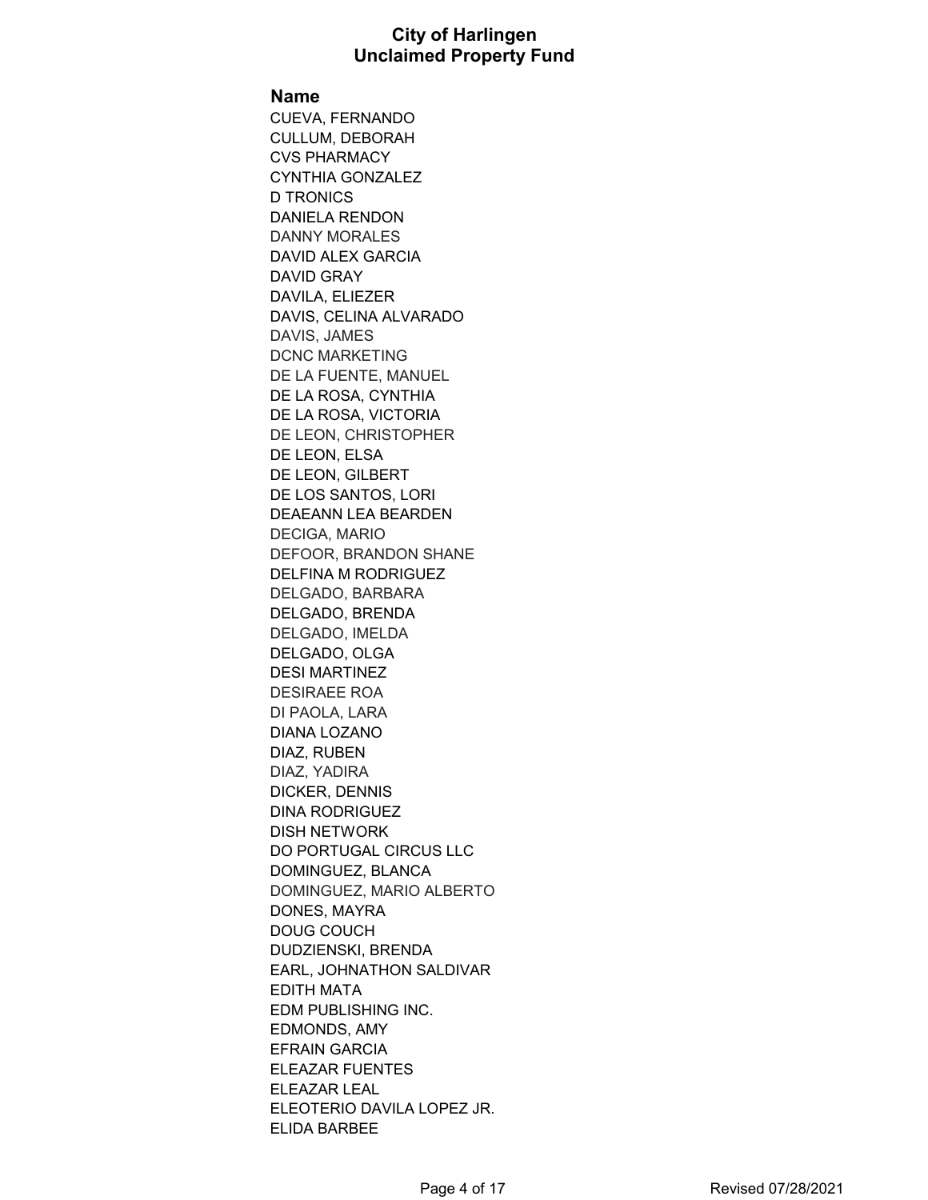#### **Name**

CUEVA, FERNANDO CULLUM, DEBORAH CVS PHARMACY CYNTHIA GONZALEZ D TRONICS DANIELA RENDON DANNY MORALES DAVID ALEX GARCIA DAVID GRAY DAVILA, ELIEZER DAVIS, CELINA ALVARADO DAVIS, JAMES DCNC MARKETING DE LA FUENTE, MANUEL DE LA ROSA, CYNTHIA DE LA ROSA, VICTORIA DE LEON, CHRISTOPHER DE LEON, ELSA DE LEON, GILBERT DE LOS SANTOS, LORI DEAEANN LEA BEARDEN DECIGA, MARIO DEFOOR, BRANDON SHANE DELFINA M RODRIGUEZ DELGADO, BARBARA DELGADO, BRENDA DELGADO, IMELDA DELGADO, OLGA DESI MARTINEZ DESIRAEE ROA DI PAOLA, LARA DIANA LOZANO DIAZ, RUBEN DIAZ, YADIRA DICKER, DENNIS DINA RODRIGUEZ DISH NETWORK DO PORTUGAL CIRCUS LLC DOMINGUEZ, BLANCA DOMINGUEZ, MARIO ALBERTO DONES, MAYRA DOUG COUCH DUDZIENSKI, BRENDA EARL, JOHNATHON SALDIVAR EDITH MATA EDM PUBLISHING INC. EDMONDS, AMY EFRAIN GARCIA ELEAZAR FUENTES ELEAZAR LEAL ELEOTERIO DAVILA LOPEZ JR. ELIDA BARBEE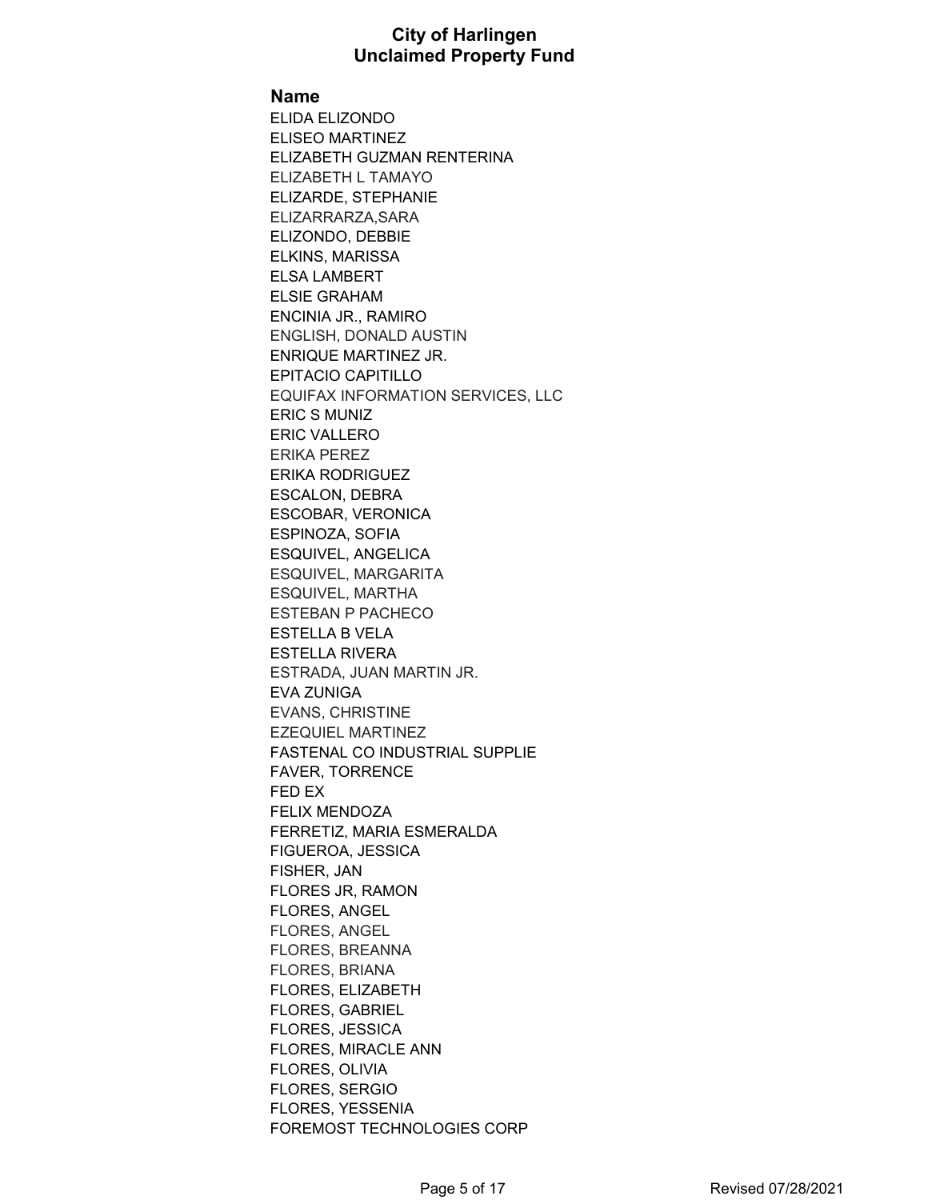#### **Name**

ELIDA ELIZONDO ELISEO MARTINEZ ELIZABETH GUZMAN RENTERINA ELIZABETH L TAMAYO ELIZARDE, STEPHANIE ELIZARRARZA,SARA ELIZONDO, DEBBIE ELKINS, MARISSA ELSA LAMBERT ELSIE GRAHAM ENCINIA JR., RAMIRO ENGLISH, DONALD AUSTIN ENRIQUE MARTINEZ JR. EPITACIO CAPITILLO EQUIFAX INFORMATION SERVICES, LLC ERIC S MUNIZ ERIC VALLERO ERIKA PEREZ ERIKA RODRIGUEZ ESCALON, DEBRA ESCOBAR, VERONICA ESPINOZA, SOFIA ESQUIVEL, ANGELICA ESQUIVEL, MARGARITA ESQUIVEL, MARTHA ESTEBAN P PACHECO ESTELLA B VELA ESTELLA RIVERA ESTRADA, JUAN MARTIN JR. EVA ZUNIGA EVANS, CHRISTINE EZEQUIEL MARTINEZ FASTENAL CO INDUSTRIAL SUPPLIE FAVER, TORRENCE FED EX FELIX MENDOZA FERRETIZ, MARIA ESMERALDA FIGUEROA, JESSICA FISHER, JAN FLORES JR, RAMON FLORES, ANGEL FLORES, ANGEL FLORES, BREANNA FLORES, BRIANA FLORES, ELIZABETH FLORES, GABRIEL FLORES, JESSICA FLORES, MIRACLE ANN FLORES, OLIVIA FLORES, SERGIO FLORES, YESSENIA FOREMOST TECHNOLOGIES CORP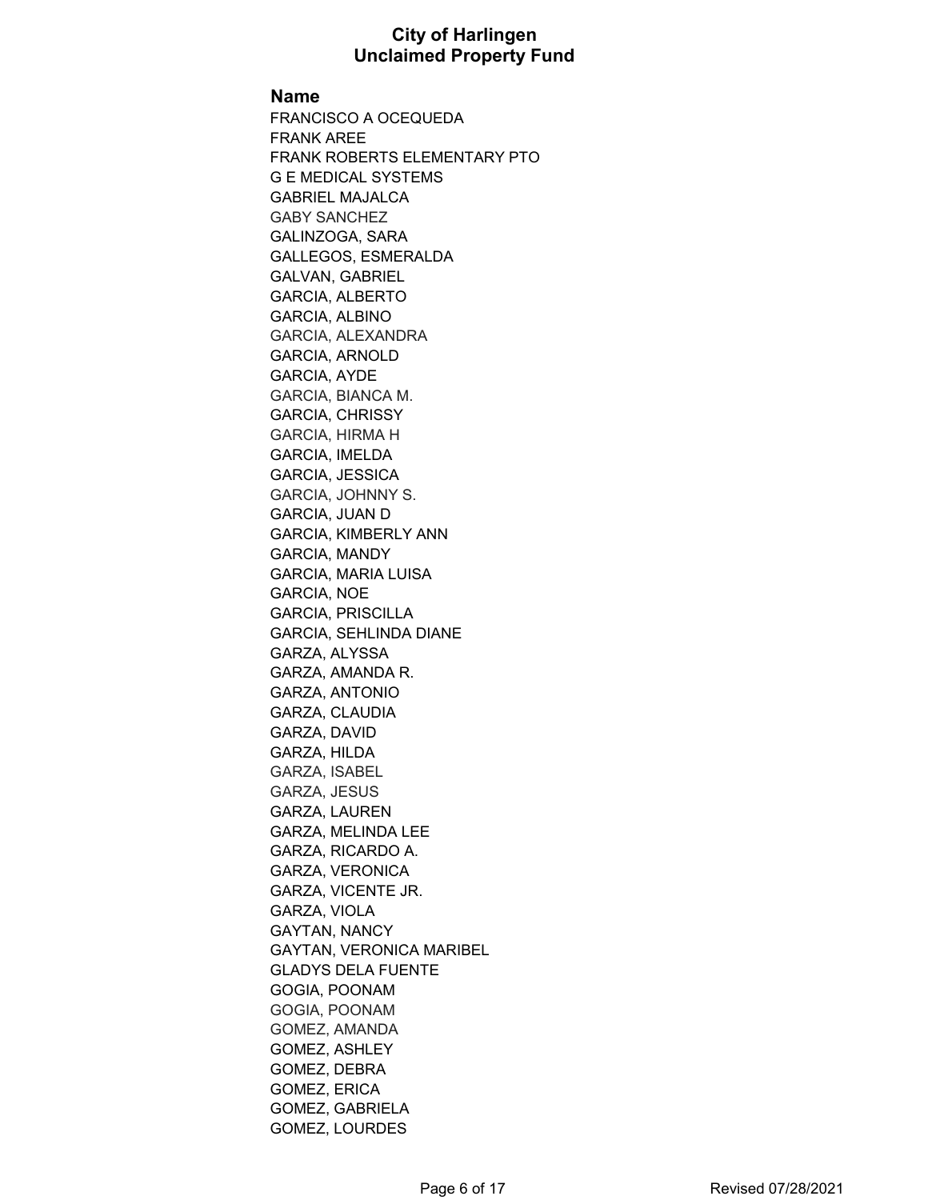#### **Name**

FRANCISCO A OCEQUEDA FRANK AREE FRANK ROBERTS ELEMENTARY PTO G E MEDICAL SYSTEMS GABRIEL MAJALCA GABY SANCHEZ GALINZOGA, SARA GALLEGOS, ESMERALDA GALVAN, GABRIEL GARCIA, ALBERTO GARCIA, ALBINO GARCIA, ALEXANDRA GARCIA, ARNOLD GARCIA, AYDE GARCIA, BIANCA M. GARCIA, CHRISSY GARCIA, HIRMA H GARCIA, IMELDA GARCIA, JESSICA GARCIA, JOHNNY S. GARCIA, JUAN D GARCIA, KIMBERLY ANN GARCIA, MANDY GARCIA, MARIA LUISA GARCIA, NOE GARCIA, PRISCILLA GARCIA, SEHLINDA DIANE GARZA, ALYSSA GARZA, AMANDA R. GARZA, ANTONIO GARZA, CLAUDIA GARZA, DAVID GARZA, HILDA GARZA, ISABEL GARZA, JESUS GARZA, LAUREN GARZA, MELINDA LEE GARZA, RICARDO A. GARZA, VERONICA GARZA, VICENTE JR. GARZA, VIOLA GAYTAN, NANCY GAYTAN, VERONICA MARIBEL GLADYS DELA FUENTE GOGIA, POONAM GOGIA, POONAM GOMEZ, AMANDA GOMEZ, ASHLEY GOMEZ, DEBRA GOMEZ, ERICA GOMEZ, GABRIELA GOMEZ, LOURDES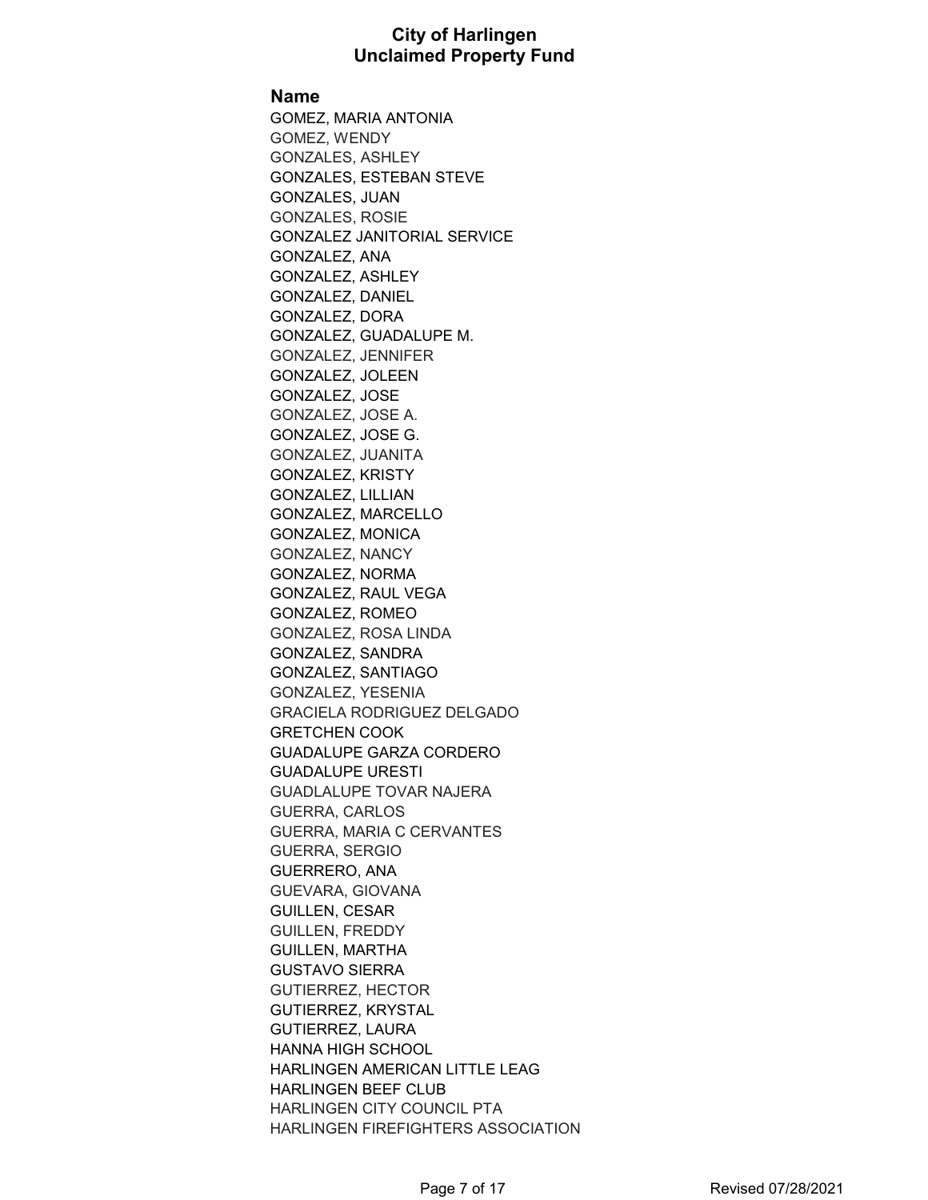**Name**

GOMEZ, MARIA ANTONIA GOMEZ, WENDY GONZALES, ASHLEY GONZALES, ESTEBAN STEVE GONZALES, JUAN GONZALES, ROSIE GONZALEZ JANITORIAL SERVICE GONZALEZ, ANA GONZALEZ, ASHLEY GONZALEZ, DANIEL GONZALEZ, DORA GONZALEZ, GUADALUPE M. GONZALEZ, JENNIFER GONZALEZ, JOLEEN GONZALEZ, JOSE GONZALEZ, JOSE A. GONZALEZ, JOSE G. GONZALEZ, JUANITA GONZALEZ, KRISTY GONZALEZ, LILLIAN GONZALEZ, MARCELLO GONZALEZ, MONICA GONZALEZ, NANCY GONZALEZ, NORMA GONZALEZ, RAUL VEGA GONZALEZ, ROMEO GONZALEZ, ROSA LINDA GONZALEZ, SANDRA GONZALEZ, SANTIAGO GONZALEZ, YESENIA GRACIELA RODRIGUEZ DELGADO GRETCHEN COOK GUADALUPE GARZA CORDERO GUADALUPE URESTI GUADLALUPE TOVAR NAJERA GUERRA, CARLOS GUERRA, MARIA C CERVANTES GUERRA, SERGIO GUERRERO, ANA GUEVARA, GIOVANA GUILLEN, CESAR GUILLEN, FREDDY GUILLEN, MARTHA GUSTAVO SIERRA GUTIERREZ, HECTOR GUTIERREZ, KRYSTAL GUTIERREZ, LAURA HANNA HIGH SCHOOL HARLINGEN AMERICAN LITTLE LEAG HARLINGEN BEEF CLUB HARLINGEN CITY COUNCIL PTA HARLINGEN FIREFIGHTERS ASSOCIATION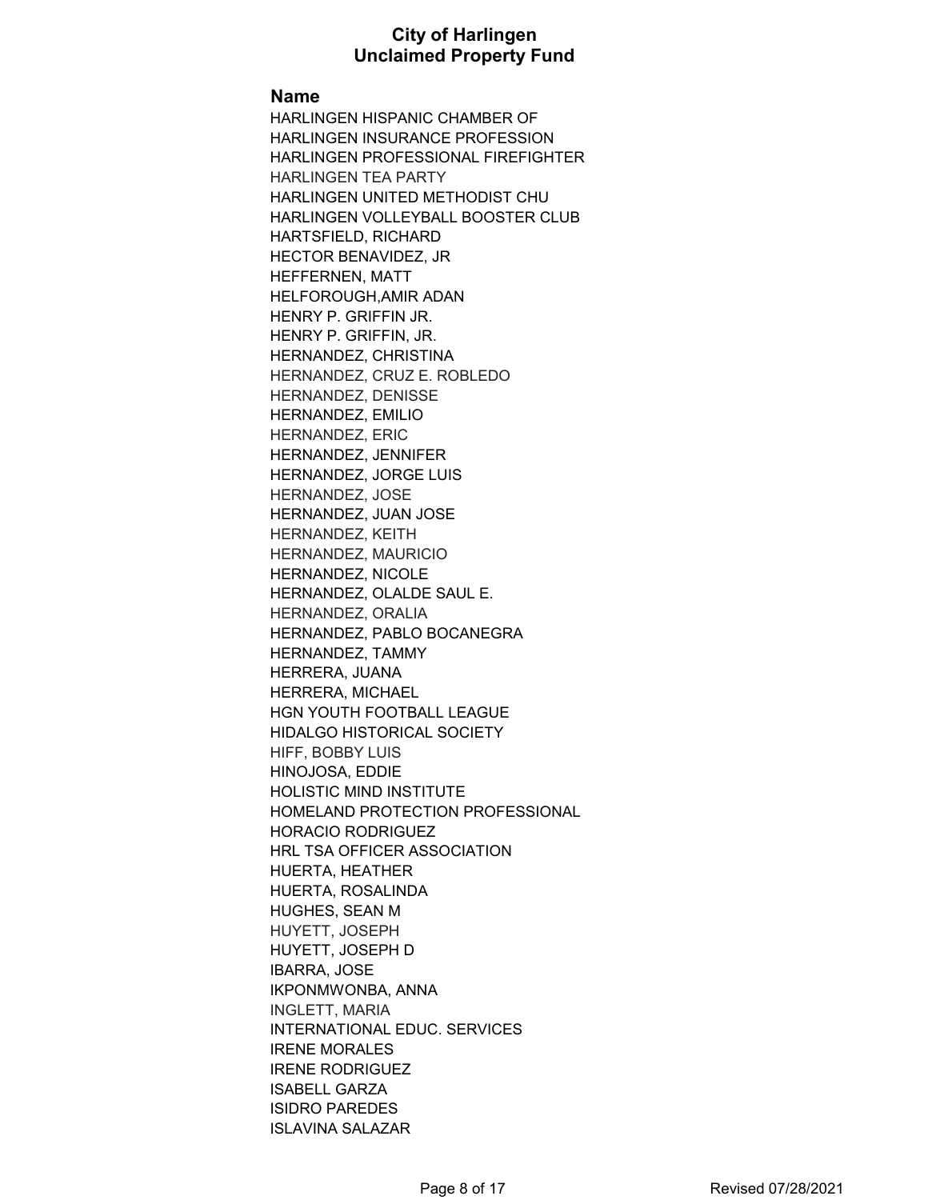#### **Name**

HARLINGEN HISPANIC CHAMBER OF HARLINGEN INSURANCE PROFESSION HARLINGEN PROFESSIONAL FIREFIGHTER HARLINGEN TEA PARTY HARLINGEN UNITED METHODIST CHU HARLINGEN VOLLEYBALL BOOSTER CLUB HARTSFIELD, RICHARD HECTOR BENAVIDEZ, JR HEFFERNEN, MATT HELFOROUGH,AMIR ADAN HENRY P. GRIFFIN JR. HENRY P. GRIFFIN, JR. HERNANDEZ, CHRISTINA HERNANDEZ, CRUZ E. ROBLEDO HERNANDEZ, DENISSE HERNANDEZ, EMILIO HERNANDEZ, ERIC HERNANDEZ, JENNIFER HERNANDEZ, JORGE LUIS HERNANDEZ, JOSE HERNANDEZ, JUAN JOSE HERNANDEZ, KEITH HERNANDEZ, MAURICIO HERNANDEZ, NICOLE HERNANDEZ, OLALDE SAUL E. HERNANDEZ, ORALIA HERNANDEZ, PABLO BOCANEGRA HERNANDEZ, TAMMY HERRERA, JUANA HERRERA, MICHAEL HGN YOUTH FOOTBALL LEAGUE HIDALGO HISTORICAL SOCIETY HIFF, BOBBY LUIS HINOJOSA, EDDIE HOLISTIC MIND INSTITUTE HOMELAND PROTECTION PROFESSIONAL HORACIO RODRIGUEZ HRL TSA OFFICER ASSOCIATION HUERTA, HEATHER HUERTA, ROSALINDA HUGHES, SEAN M HUYETT, JOSEPH HUYETT, JOSEPH D IBARRA, JOSE IKPONMWONBA, ANNA INGLETT, MARIA INTERNATIONAL EDUC. SERVICES IRENE MORALES IRENE RODRIGUEZ ISABELL GARZA ISIDRO PAREDES ISLAVINA SALAZAR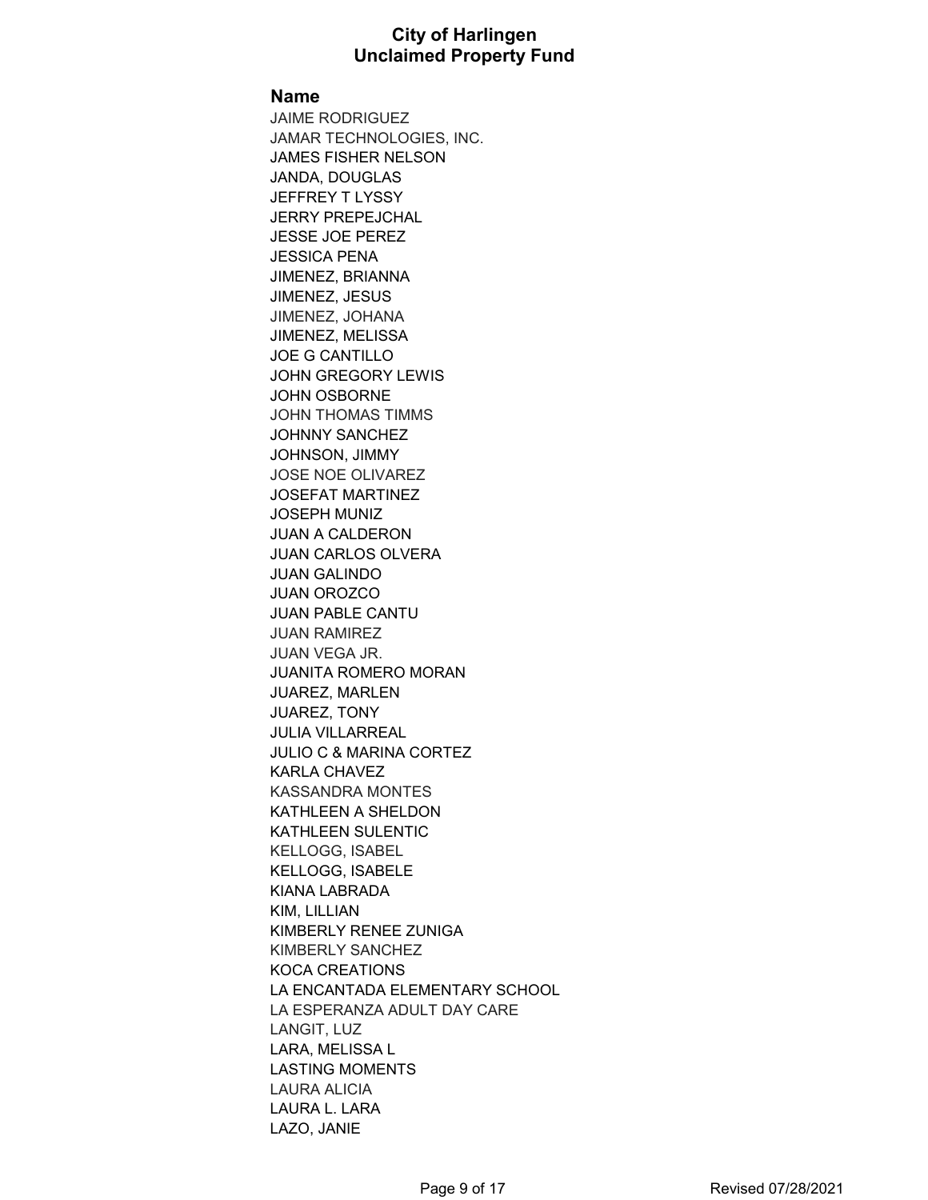#### **Name**

JAIME RODRIGUEZ JAMAR TECHNOLOGIES, INC. JAMES FISHER NELSON JANDA, DOUGLAS JEFFREY T LYSSY JERRY PREPEJCHAL JESSE JOE PEREZ JESSICA PENA JIMENEZ, BRIANNA JIMENEZ, JESUS JIMENEZ, JOHANA JIMENEZ, MELISSA JOE G CANTILLO JOHN GREGORY LEWIS JOHN OSBORNE JOHN THOMAS TIMMS JOHNNY SANCHEZ JOHNSON, JIMMY JOSE NOE OLIVAREZ JOSEFAT MARTINEZ JOSEPH MUNIZ JUAN A CALDERON JUAN CARLOS OLVERA JUAN GALINDO JUAN OROZCO JUAN PABLE CANTU JUAN RAMIREZ JUAN VEGA JR. JUANITA ROMERO MORAN JUAREZ, MARLEN JUAREZ, TONY JULIA VILLARREAL JULIO C & MARINA CORTEZ KARLA CHAVEZ KASSANDRA MONTES KATHLEEN A SHELDON KATHLEEN SULENTIC KELLOGG, ISABEL KELLOGG, ISABELE KIANA LABRADA KIM, LILLIAN KIMBERLY RENEE ZUNIGA KIMBERLY SANCHEZ KOCA CREATIONS LA ENCANTADA ELEMENTARY SCHOOL LA ESPERANZA ADULT DAY CARE LANGIT, LUZ LARA, MELISSA L LASTING MOMENTS LAURA ALICIA LAURA L. LARA LAZO, JANIE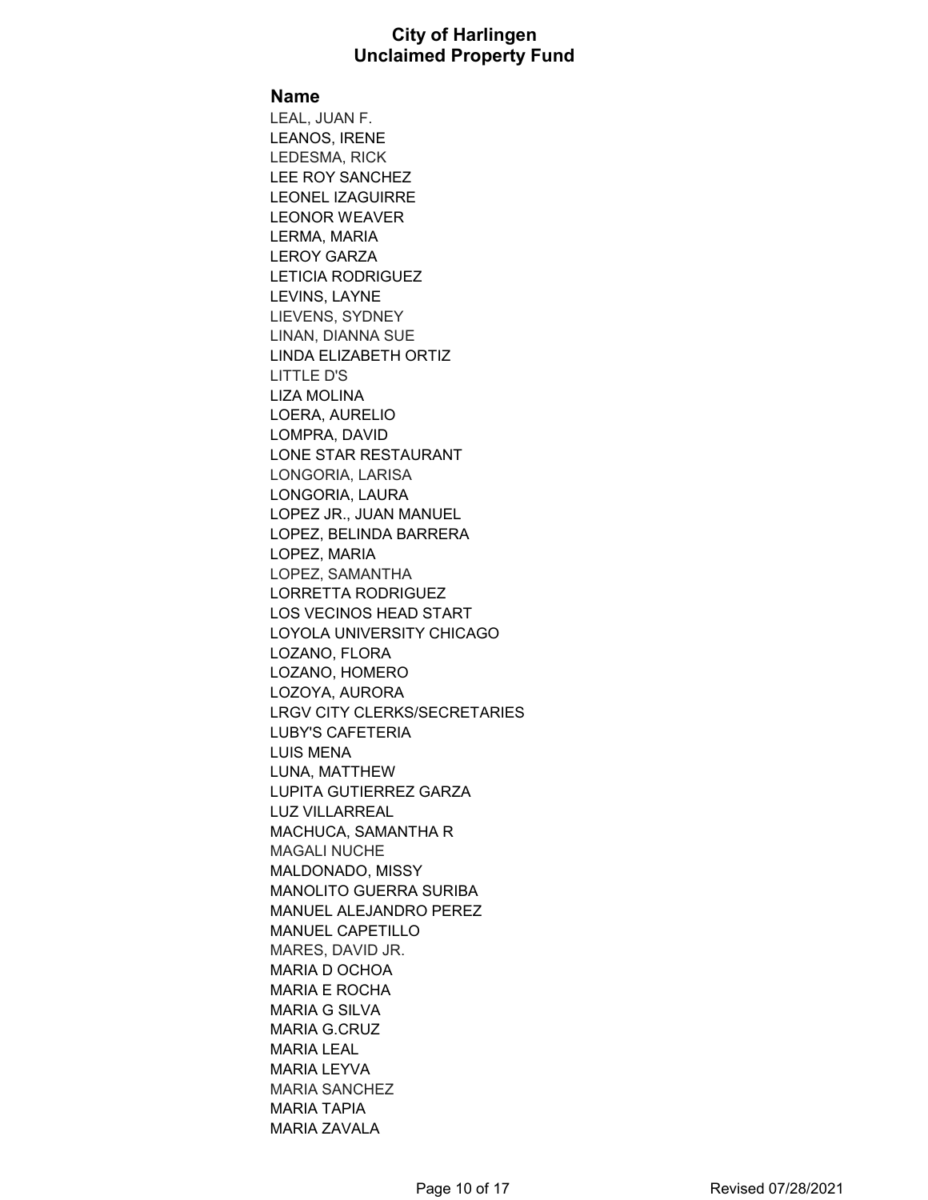#### **Name**

LEAL, JUAN F. LEANOS, IRENE LEDESMA, RICK LEE ROY SANCHEZ LEONEL IZAGUIRRE LEONOR WEAVER LERMA, MARIA LEROY GARZA LETICIA RODRIGUEZ LEVINS, LAYNE LIEVENS, SYDNEY LINAN, DIANNA SUE LINDA ELIZABETH ORTIZ LITTLE D'S LIZA MOLINA LOERA, AURELIO LOMPRA, DAVID LONE STAR RESTAURANT LONGORIA, LARISA LONGORIA, LAURA LOPEZ JR., JUAN MANUEL LOPEZ, BELINDA BARRERA LOPEZ, MARIA LOPEZ, SAMANTHA LORRETTA RODRIGUEZ LOS VECINOS HEAD START LOYOLA UNIVERSITY CHICAGO LOZANO, FLORA LOZANO, HOMERO LOZOYA, AURORA LRGV CITY CLERKS/SECRETARIES LUBY'S CAFETERIA LUIS MENA LUNA, MATTHEW LUPITA GUTIERREZ GARZA LUZ VILLARREAL MACHUCA, SAMANTHA R MAGALI NUCHE MALDONADO, MISSY MANOLITO GUERRA SURIBA MANUEL ALEJANDRO PEREZ MANUEL CAPETILLO MARES, DAVID JR. MARIA D OCHOA MARIA E ROCHA MARIA G SILVA MARIA G.CRUZ MARIA LEAL MARIA LEYVA MARIA SANCHEZ MARIA TAPIA MARIA ZAVALA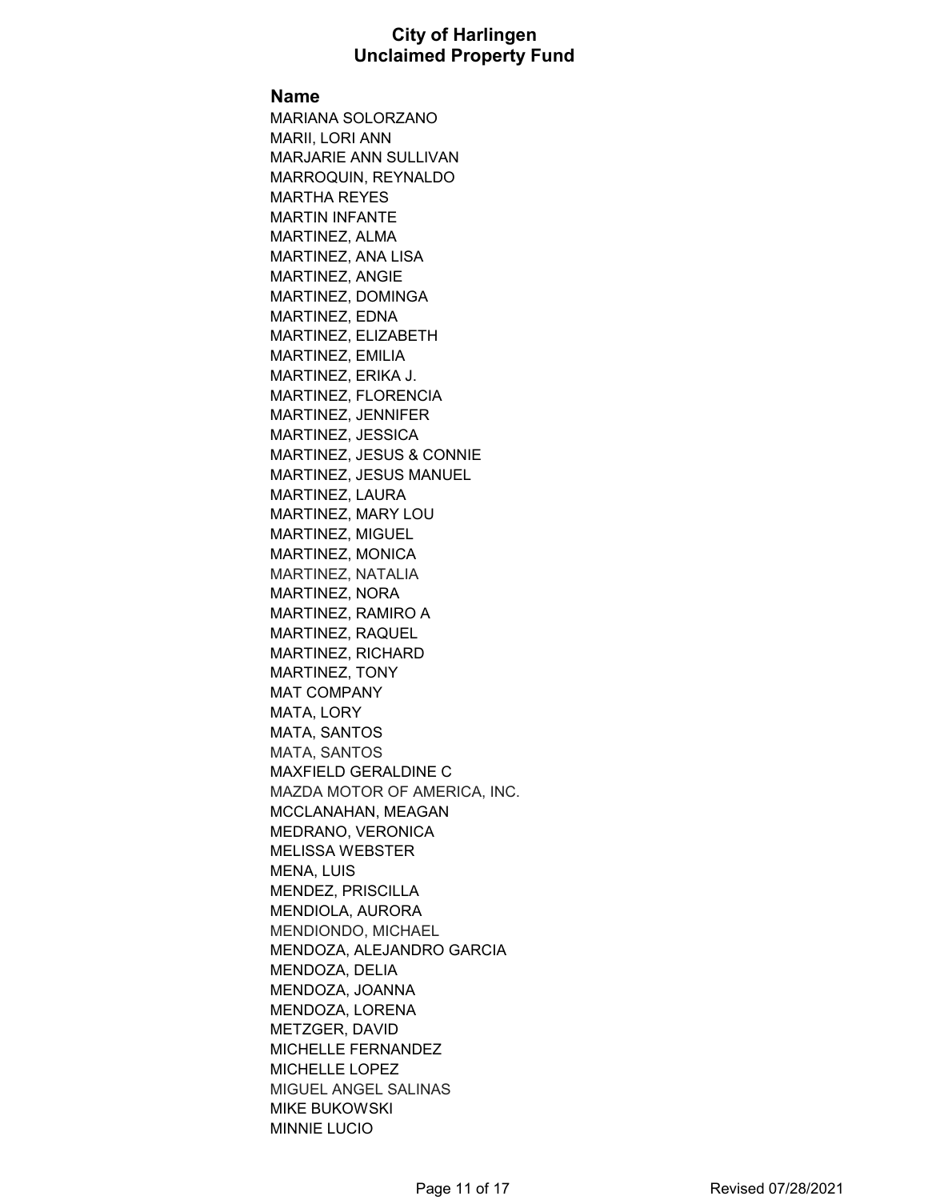#### **Name**

MARIANA SOLORZANO MARII, LORI ANN MARJARIE ANN SULLIVAN MARROQUIN, REYNALDO MARTHA REYES MARTIN INFANTE MARTINEZ, ALMA MARTINEZ, ANA LISA MARTINEZ, ANGIE MARTINEZ, DOMINGA MARTINEZ, EDNA MARTINEZ, ELIZABETH MARTINEZ, EMILIA MARTINEZ, ERIKA J. MARTINEZ, FLORENCIA MARTINEZ, JENNIFER MARTINEZ, JESSICA MARTINEZ, JESUS & CONNIE MARTINEZ, JESUS MANUEL MARTINEZ, LAURA MARTINEZ, MARY LOU MARTINEZ, MIGUEL MARTINEZ, MONICA MARTINEZ, NATALIA MARTINEZ, NORA MARTINEZ, RAMIRO A MARTINEZ, RAQUEL MARTINEZ, RICHARD MARTINEZ, TONY MAT COMPANY MATA, LORY MATA, SANTOS MATA, SANTOS MAXFIELD GERALDINE C MAZDA MOTOR OF AMERICA, INC. MCCLANAHAN, MEAGAN MEDRANO, VERONICA MELISSA WEBSTER MENA, LUIS MENDEZ, PRISCILLA MENDIOLA, AURORA MENDIONDO, MICHAEL MENDOZA, ALEJANDRO GARCIA MENDOZA, DELIA MENDOZA, JOANNA MENDOZA, LORENA METZGER, DAVID MICHELLE FERNANDEZ MICHELLE LOPEZ MIGUEL ANGEL SALINAS MIKE BUKOWSKI MINNIE LUCIO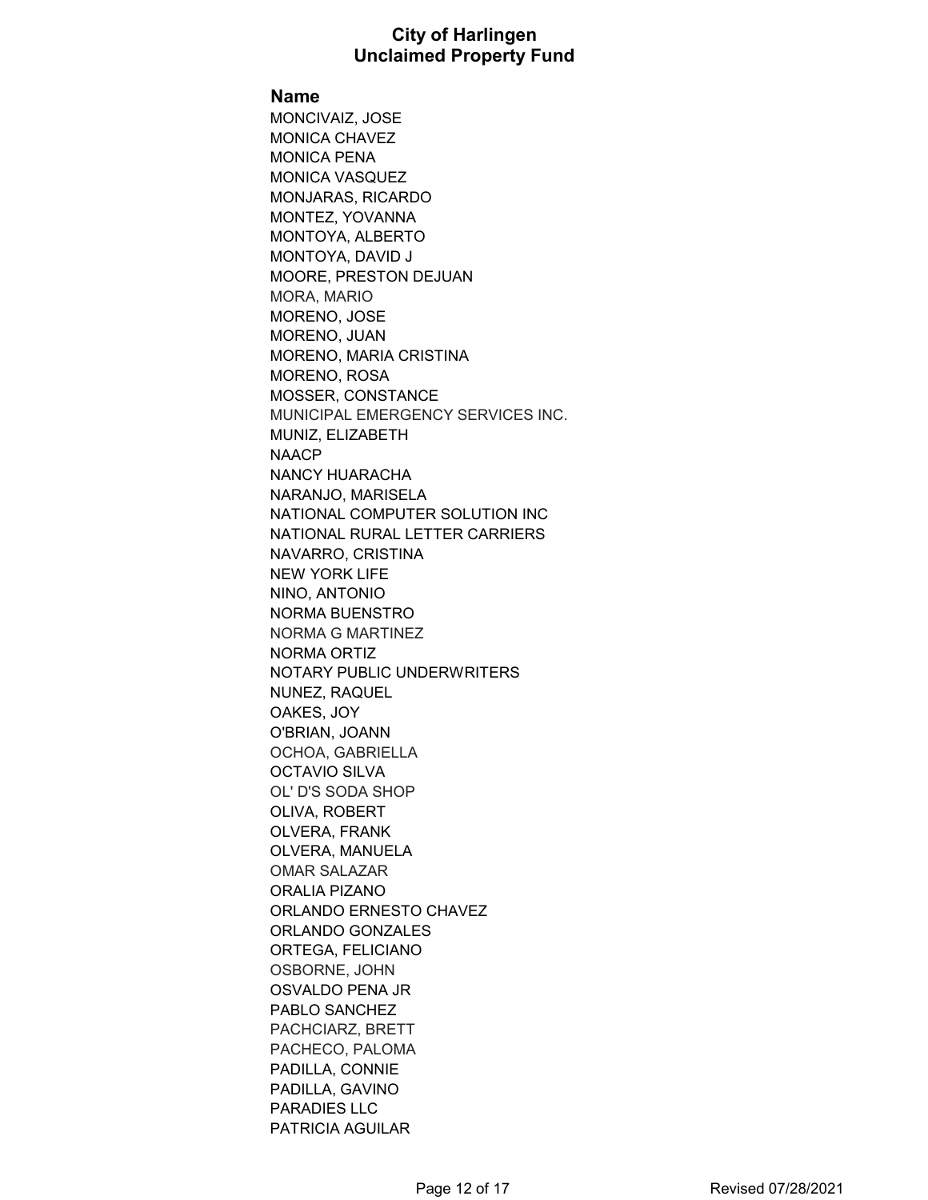#### **Name**

MONCIVAIZ, JOSE MONICA CHAVEZ MONICA PENA MONICA VASQUEZ MONJARAS, RICARDO MONTEZ, YOVANNA MONTOYA, ALBERTO MONTOYA, DAVID J MOORE, PRESTON DEJUAN MORA, MARIO MORENO, JOSE MORENO, JUAN MORENO, MARIA CRISTINA MORENO, ROSA MOSSER, CONSTANCE MUNICIPAL EMERGENCY SERVICES INC. MUNIZ, ELIZABETH NAACP NANCY HUARACHA NARANJO, MARISELA NATIONAL COMPUTER SOLUTION INC NATIONAL RURAL LETTER CARRIERS NAVARRO, CRISTINA NEW YORK LIFE NINO, ANTONIO NORMA BUENSTRO NORMA G MARTINEZ NORMA ORTIZ NOTARY PUBLIC UNDERWRITERS NUNEZ, RAQUEL OAKES, JOY O'BRIAN, JOANN OCHOA, GABRIELLA OCTAVIO SILVA OL' D'S SODA SHOP OLIVA, ROBERT OLVERA, FRANK OLVERA, MANUELA OMAR SALAZAR ORALIA PIZANO ORLANDO ERNESTO CHAVEZ ORLANDO GONZALES ORTEGA, FELICIANO OSBORNE, JOHN OSVALDO PENA JR PABLO SANCHEZ PACHCIARZ, BRETT PACHECO, PALOMA PADILLA, CONNIE PADILLA, GAVINO PARADIES LLC PATRICIA AGUILAR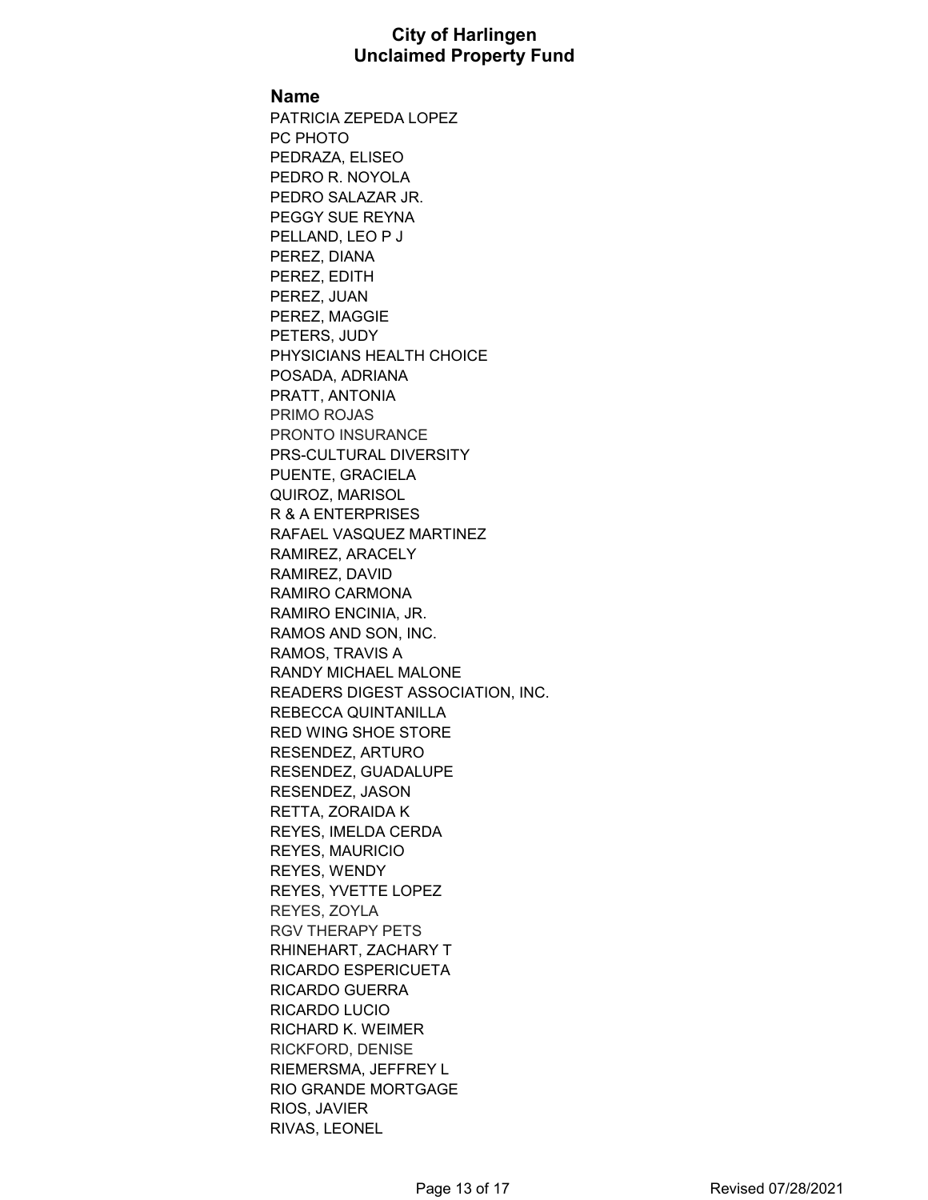#### **Name**

PATRICIA ZEPEDA LOPEZ PC PHOTO PEDRAZA, ELISEO PEDRO R. NOYOLA PEDRO SALAZAR JR. PEGGY SUE REYNA PELLAND, LEO P J PEREZ, DIANA PEREZ, EDITH PEREZ, JUAN PEREZ, MAGGIE PETERS, JUDY PHYSICIANS HEALTH CHOICE POSADA, ADRIANA PRATT, ANTONIA PRIMO ROJAS PRONTO INSURANCE PRS-CULTURAL DIVERSITY PUENTE, GRACIELA QUIROZ, MARISOL R & A ENTERPRISES RAFAEL VASQUEZ MARTINEZ RAMIREZ, ARACELY RAMIREZ, DAVID RAMIRO CARMONA RAMIRO ENCINIA, JR. RAMOS AND SON, INC. RAMOS, TRAVIS A RANDY MICHAEL MALONE READERS DIGEST ASSOCIATION, INC. REBECCA QUINTANILLA RED WING SHOE STORE RESENDEZ, ARTURO RESENDEZ, GUADALUPE RESENDEZ, JASON RETTA, ZORAIDA K REYES, IMELDA CERDA REYES, MAURICIO REYES, WENDY REYES, YVETTE LOPEZ REYES, ZOYLA RGV THERAPY PETS RHINEHART, ZACHARY T RICARDO ESPERICUETA RICARDO GUERRA RICARDO LUCIO RICHARD K. WEIMER RICKFORD, DENISE RIEMERSMA, JEFFREY L RIO GRANDE MORTGAGE RIOS, JAVIER RIVAS, LEONEL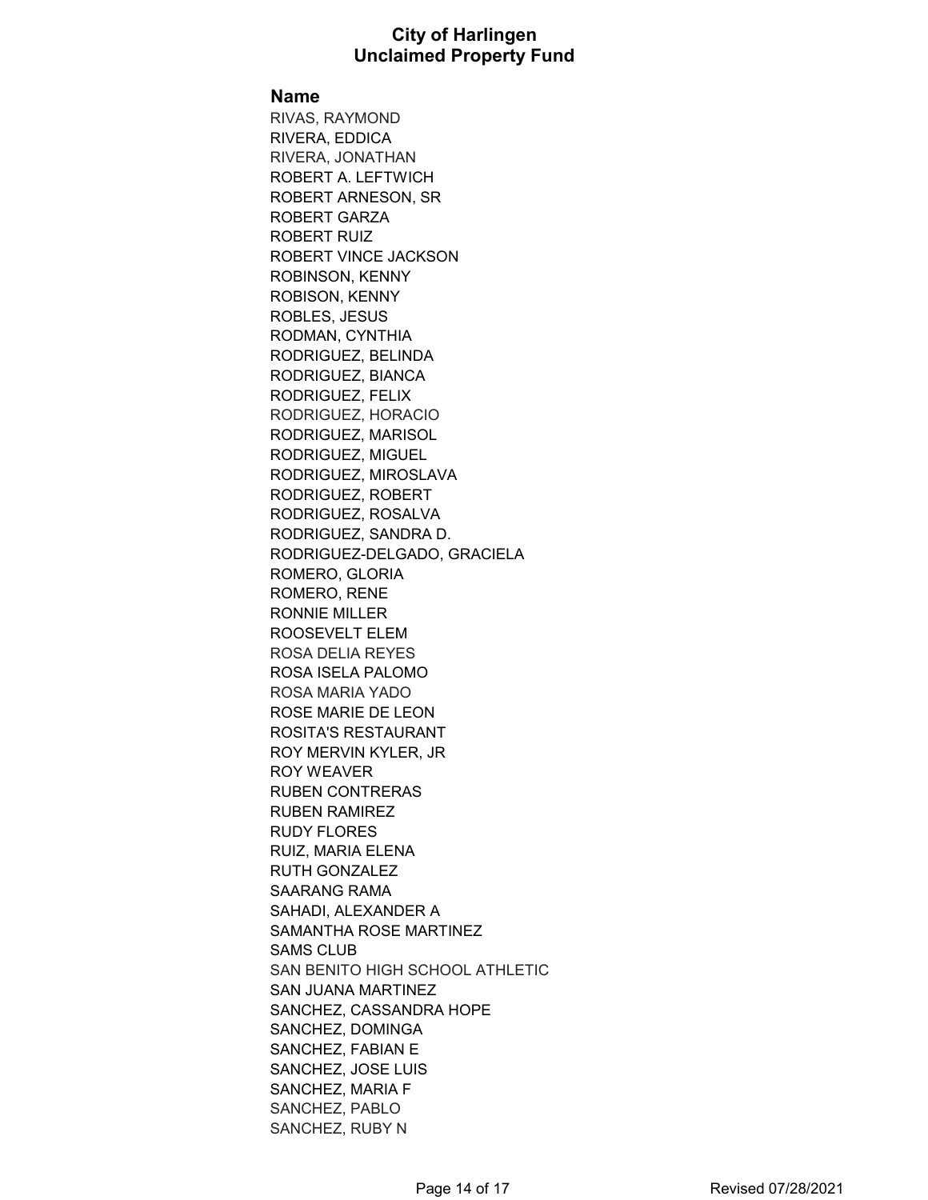#### **Name**

RIVAS, RAYMOND RIVERA, EDDICA RIVERA, JONATHAN ROBERT A. LEFTWICH ROBERT ARNESON, SR ROBERT GARZA ROBERT RUIZ ROBERT VINCE JACKSON ROBINSON, KENNY ROBISON, KENNY ROBLES, JESUS RODMAN, CYNTHIA RODRIGUEZ, BELINDA RODRIGUEZ, BIANCA RODRIGUEZ, FELIX RODRIGUEZ, HORACIO RODRIGUEZ, MARISOL RODRIGUEZ, MIGUEL RODRIGUEZ, MIROSLAVA RODRIGUEZ, ROBERT RODRIGUEZ, ROSALVA RODRIGUEZ, SANDRA D. RODRIGUEZ-DELGADO, GRACIELA ROMERO, GLORIA ROMERO, RENE RONNIE MILLER ROOSEVELT ELEM ROSA DELIA REYES ROSA ISELA PALOMO ROSA MARIA YADO ROSE MARIE DE LEON ROSITA'S RESTAURANT ROY MERVIN KYLER, JR ROY WEAVER RUBEN CONTRERAS RUBEN RAMIREZ RUDY FLORES RUIZ, MARIA ELENA RUTH GONZALEZ SAARANG RAMA SAHADI, ALEXANDER A SAMANTHA ROSE MARTINEZ SAMS CLUB SAN BENITO HIGH SCHOOL ATHLETIC SAN JUANA MARTINEZ SANCHEZ, CASSANDRA HOPE SANCHEZ, DOMINGA SANCHEZ, FABIAN E SANCHEZ, JOSE LUIS SANCHEZ, MARIA F SANCHEZ, PABLO SANCHEZ, RUBY N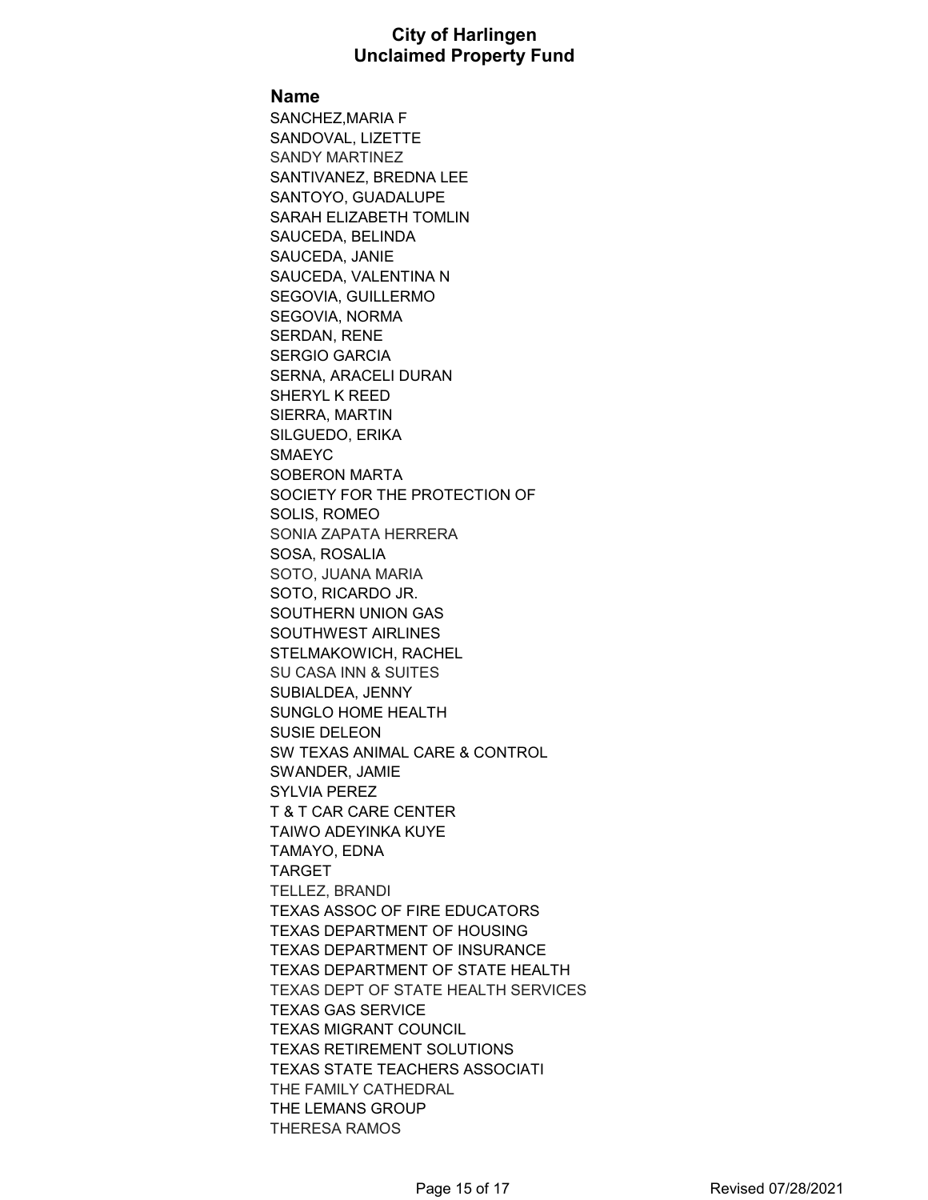#### **Name**

SANCHEZ,MARIA F SANDOVAL, LIZETTE SANDY MARTINEZ SANTIVANEZ, BREDNA LEE SANTOYO, GUADALUPE SARAH ELIZABETH TOMLIN SAUCEDA, BELINDA SAUCEDA, JANIE SAUCEDA, VALENTINA N SEGOVIA, GUILLERMO SEGOVIA, NORMA SERDAN, RENE SERGIO GARCIA SERNA, ARACELI DURAN SHERYL K REED SIERRA, MARTIN SILGUEDO, ERIKA SMAEYC SOBERON MARTA SOCIETY FOR THE PROTECTION OF SOLIS, ROMEO SONIA ZAPATA HERRERA SOSA, ROSALIA SOTO, JUANA MARIA SOTO, RICARDO JR. SOUTHERN UNION GAS SOUTHWEST AIRLINES STELMAKOWICH, RACHEL SU CASA INN & SUITES SUBIALDEA, JENNY SUNGLO HOME HEALTH SUSIE DELEON SW TEXAS ANIMAL CARE & CONTROL SWANDER, JAMIE SYLVIA PEREZ T & T CAR CARE CENTER TAIWO ADEYINKA KUYE TAMAYO, EDNA TARGET TELLEZ, BRANDI TEXAS ASSOC OF FIRE EDUCATORS TEXAS DEPARTMENT OF HOUSING TEXAS DEPARTMENT OF INSURANCE TEXAS DEPARTMENT OF STATE HEALTH TEXAS DEPT OF STATE HEALTH SERVICES TEXAS GAS SERVICE TEXAS MIGRANT COUNCIL TEXAS RETIREMENT SOLUTIONS TEXAS STATE TEACHERS ASSOCIATI THE FAMILY CATHEDRAL THE LEMANS GROUP THERESA RAMOS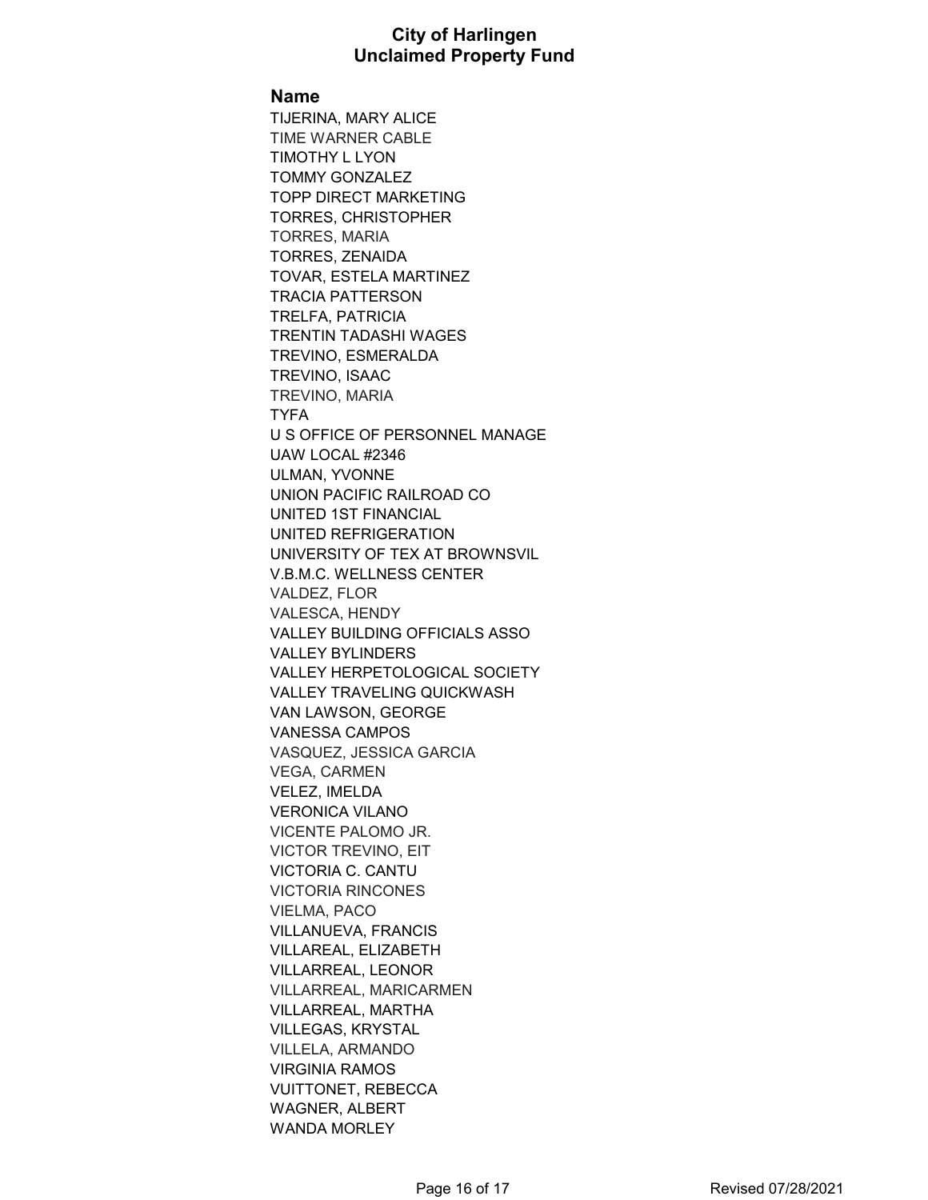#### **Name**

TIJERINA, MARY ALICE TIME WARNER CABLE TIMOTHY L LYON TOMMY GONZALEZ TOPP DIRECT MARKETING TORRES, CHRISTOPHER TORRES, MARIA TORRES, ZENAIDA TOVAR, ESTELA MARTINEZ TRACIA PATTERSON TRELFA, PATRICIA TRENTIN TADASHI WAGES TREVINO, ESMERALDA TREVINO, ISAAC TREVINO, MARIA TYFA U S OFFICE OF PERSONNEL MANAGE UAW LOCAL #2346 ULMAN, YVONNE UNION PACIFIC RAILROAD CO UNITED 1ST FINANCIAL UNITED REFRIGERATION UNIVERSITY OF TEX AT BROWNSVIL V.B.M.C. WELLNESS CENTER VALDEZ, FLOR VALESCA, HENDY VALLEY BUILDING OFFICIALS ASSO VALLEY BYLINDERS VALLEY HERPETOLOGICAL SOCIETY VALLEY TRAVELING QUICKWASH VAN LAWSON, GEORGE VANESSA CAMPOS VASQUEZ, JESSICA GARCIA VEGA, CARMEN VELEZ, IMELDA VERONICA VILANO VICENTE PALOMO JR. VICTOR TREVINO, EIT VICTORIA C. CANTU VICTORIA RINCONES VIELMA, PACO VILLANUEVA, FRANCIS VILLAREAL, ELIZABETH VILLARREAL, LEONOR VILLARREAL, MARICARMEN VILLARREAL, MARTHA VILLEGAS, KRYSTAL VILLELA, ARMANDO VIRGINIA RAMOS VUITTONET, REBECCA WAGNER, ALBERT WANDA MORLEY